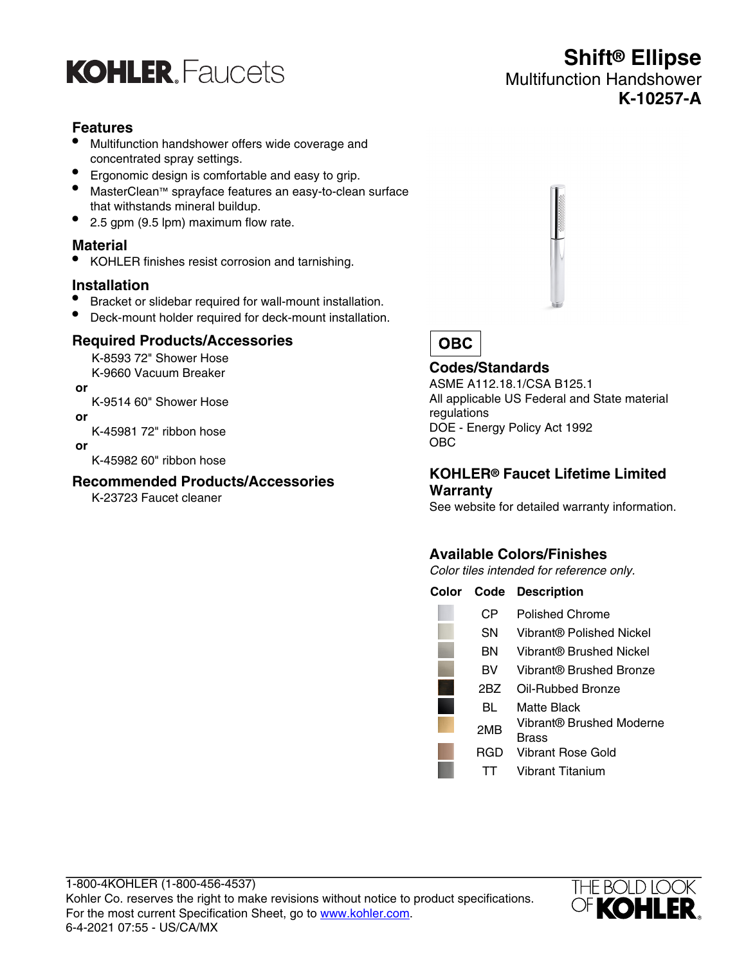

### **Features**

- Multifunction handshower offers wide coverage and concentrated spray settings.
- Ergonomic design is comfortable and easy to grip.
- MasterClean™ sprayface features an easy-to-clean surface that withstands mineral buildup.
- 2.5 gpm (9.5 lpm) maximum flow rate.

#### **Material**

• KOHLER finishes resist corrosion and tarnishing.

#### **Installation**

- Bracket or slidebar required for wall-mount installation.
- Deck-mount holder required for deck-mount installation.

#### **Required Products/Accessories**

K-8593 72" Shower Hose K-9660 Vacuum Breaker

- **or**
- K-9514 60" Shower Hose
- **or**

K-45981 72" ribbon hose

 **or**

K-45982 60" ribbon hose

#### **Recommended Products/Accessories**

K-23723 Faucet cleaner



**Shift® Ellipse**

**K-10257-A**

Multifunction Handshower

# **OBC**

## **Codes/Standards**

ASME A112.18.1/CSA B125.1 All applicable US Federal and State material regulations DOE - Energy Policy Act 1992 OBC

#### **KOHLER® Faucet Lifetime Limited Warranty**

See website for detailed warranty information.

# **Available Colors/Finishes**

Color tiles intended for reference only.

| Color | Code | <b>Description</b>                |
|-------|------|-----------------------------------|
|       | CР   | Polished Chrome                   |
|       | SΝ   | Vibrant® Polished Nickel          |
|       | ΒN   | Vibrant® Brushed Nickel           |
|       | вv   | Vibrant® Brushed Bronze           |
|       | 2BZ  | Oil-Rubbed Bronze                 |
|       | BL   | Matte Black                       |
|       | 2MB  | Vibrant® Brushed Moderne<br>Brass |
|       | RGD  | Vibrant Rose Gold                 |
|       |      | Vibrant Titanium                  |